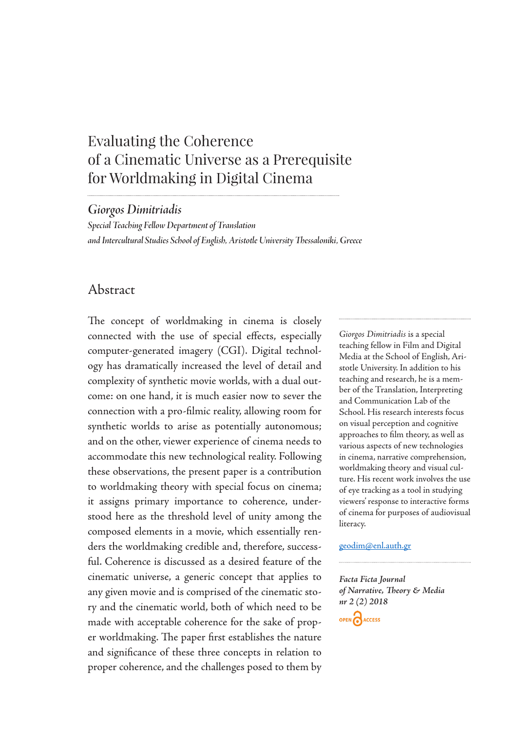# Evaluating the Coherence of a Cinematic Universe as a Prerequisite for Worldmaking in Digital Cinema

*Giorgos Dimitriadis*

*Special Teaching Fellow Department of Translation and Intercultural Studies School of English, Aristotle University Thessaloniki, Greece*

# Abstract

The concept of worldmaking in cinema is closely connected with the use of special effects, especially computer-generated imagery (CGI). Digital technology has dramatically increased the level of detail and complexity of synthetic movie worlds, with a dual outcome: on one hand, it is much easier now to sever the connection with a pro-filmic reality, allowing room for synthetic worlds to arise as potentially autonomous; and on the other, viewer experience of cinema needs to accommodate this new technological reality. Following these observations, the present paper is a contribution to worldmaking theory with special focus on cinema; it assigns primary importance to coherence, understood here as the threshold level of unity among the composed elements in a movie, which essentially renders the worldmaking credible and, therefore, successful. Coherence is discussed as a desired feature of the cinematic universe, a generic concept that applies to any given movie and is comprised of the cinematic story and the cinematic world, both of which need to be made with acceptable coherence for the sake of proper worldmaking. The paper first establishes the nature and significance of these three concepts in relation to proper coherence, and the challenges posed to them by

*Giorgos Dimitriadis* is a special teaching fellow in Film and Digital Media at the School of English, Aristotle University. In addition to his teaching and research, he is a member of the Translation, Interpreting and Communication Lab of the School. His research interests focus on visual perception and cognitive approaches to film theory, as well as various aspects of new technologies in cinema, narrative comprehension, worldmaking theory and visual culture. His recent work involves the use of eye tracking as a tool in studying viewers' response to interactive forms of cinema for purposes of audiovisual literacy.

#### geodim@enl.auth.gr

*Facta Ficta Journal of Narrative, Theory & Media nr 2 (2) 2018*

OPEN CACCESS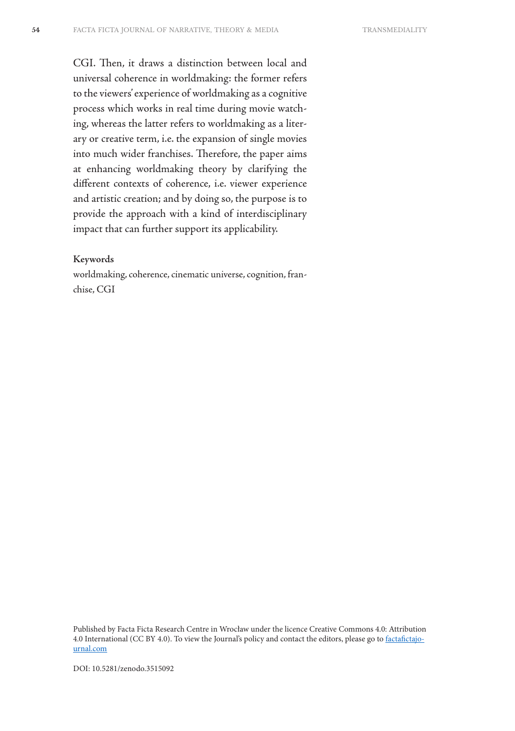CGI. Then, it draws a distinction between local and universal coherence in worldmaking: the former refers to the viewers' experience of worldmaking as a cognitive process which works in real time during movie watching, whereas the latter refers to worldmaking as a literary or creative term, i.e. the expansion of single movies into much wider franchises. Therefore, the paper aims at enhancing worldmaking theory by clarifying the different contexts of coherence, i.e. viewer experience and artistic creation; and by doing so, the purpose is to provide the approach with a kind of interdisciplinary impact that can further support its applicability.

#### **Keywords**

worldmaking, coherence, cinematic universe, cognition, franchise, CGI

Published by Facta Ficta Research Centre in Wrocław under the licence Creative Commons 4.0: Attribution 4.0 International (CC BY 4.0). To view the Journal's policy and contact the editors, please go to factafictajournal.com

DOI: 10.5281/zenodo.3515092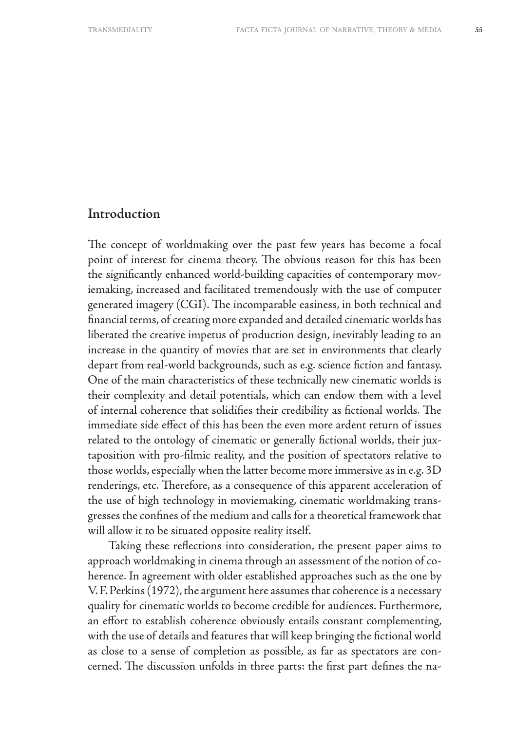## **Introduction**

The concept of worldmaking over the past few years has become a focal point of interest for cinema theory. The obvious reason for this has been the significantly enhanced world-building capacities of contemporary moviemaking, increased and facilitated tremendously with the use of computer generated imagery (CGI). The incomparable easiness, in both technical and financial terms, of creating more expanded and detailed cinematic worlds has liberated the creative impetus of production design, inevitably leading to an increase in the quantity of movies that are set in environments that clearly depart from real-world backgrounds, such as e.g. science fiction and fantasy. One of the main characteristics of these technically new cinematic worlds is their complexity and detail potentials, which can endow them with a level of internal coherence that solidifies their credibility as fictional worlds. The immediate side effect of this has been the even more ardent return of issues related to the ontology of cinematic or generally fictional worlds, their juxtaposition with pro-filmic reality, and the position of spectators relative to those worlds, especially when the latter become more immersive as in e.g. 3D renderings, etc. Therefore, as a consequence of this apparent acceleration of the use of high technology in moviemaking, cinematic worldmaking transgresses the confines of the medium and calls for a theoretical framework that will allow it to be situated opposite reality itself.

Taking these reflections into consideration, the present paper aims to approach worldmaking in cinema through an assessment of the notion of coherence. In agreement with older established approaches such as the one by V. F. Perkins (1972), the argument here assumes that coherence is a necessary quality for cinematic worlds to become credible for audiences. Furthermore, an effort to establish coherence obviously entails constant complementing, with the use of details and features that will keep bringing the fictional world as close to a sense of completion as possible, as far as spectators are concerned. The discussion unfolds in three parts: the first part defines the na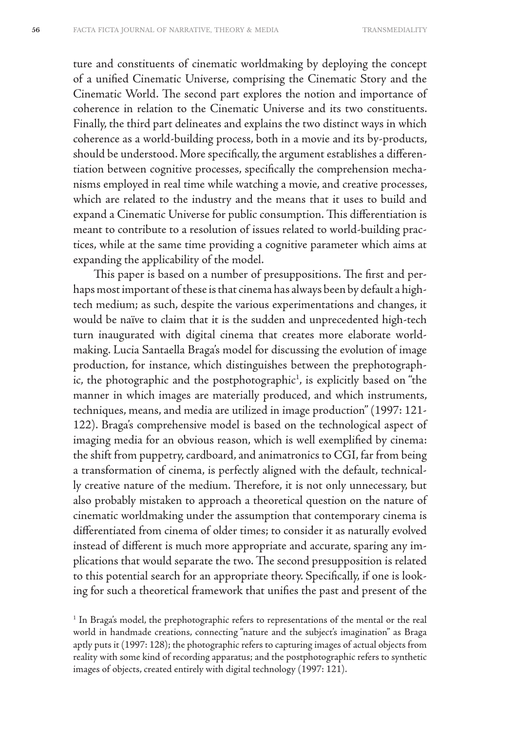ture and constituents of cinematic worldmaking by deploying the concept of a unified Cinematic Universe, comprising the Cinematic Story and the Cinematic World. The second part explores the notion and importance of coherence in relation to the Cinematic Universe and its two constituents. Finally, the third part delineates and explains the two distinct ways in which coherence as a world-building process, both in a movie and its by-products, should be understood. More specifically, the argument establishes a differentiation between cognitive processes, specifically the comprehension mechanisms employed in real time while watching a movie, and creative processes, which are related to the industry and the means that it uses to build and expand a Cinematic Universe for public consumption. This differentiation is meant to contribute to a resolution of issues related to world-building practices, while at the same time providing a cognitive parameter which aims at expanding the applicability of the model.

This paper is based on a number of presuppositions. The first and perhaps most important of these is that cinema has always been by default a hightech medium; as such, despite the various experimentations and changes, it would be naïve to claim that it is the sudden and unprecedented high-tech turn inaugurated with digital cinema that creates more elaborate worldmaking. Lucia Santaella Braga's model for discussing the evolution of image production, for instance, which distinguishes between the prephotographic, the photographic and the postphotographic<sup>1</sup>, is explicitly based on "the manner in which images are materially produced, and which instruments, techniques, means, and media are utilized in image production" (1997: 121- 122). Braga's comprehensive model is based on the technological aspect of imaging media for an obvious reason, which is well exemplified by cinema: the shift from puppetry, cardboard, and animatronics to CGI, far from being a transformation of cinema, is perfectly aligned with the default, technically creative nature of the medium. Therefore, it is not only unnecessary, but also probably mistaken to approach a theoretical question on the nature of cinematic worldmaking under the assumption that contemporary cinema is differentiated from cinema of older times; to consider it as naturally evolved instead of different is much more appropriate and accurate, sparing any implications that would separate the two. The second presupposition is related to this potential search for an appropriate theory. Specifically, if one is looking for such a theoretical framework that unifies the past and present of the

<sup>1</sup> In Braga's model, the prephotographic refers to representations of the mental or the real world in handmade creations, connecting "nature and the subject's imagination" as Braga aptly puts it (1997: 128); the photographic refers to capturing images of actual objects from reality with some kind of recording apparatus; and the postphotographic refers to synthetic images of objects, created entirely with digital technology (1997: 121).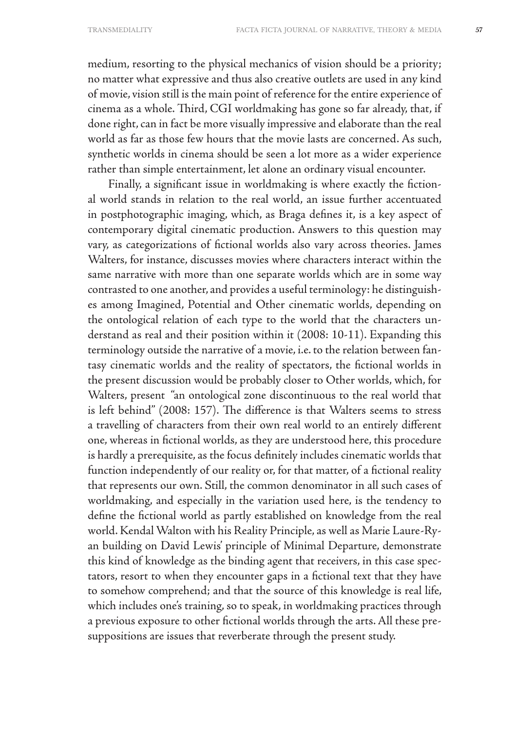medium, resorting to the physical mechanics of vision should be a priority; no matter what expressive and thus also creative outlets are used in any kind of movie, vision still is the main point of reference for the entire experience of cinema as a whole. Third, CGI worldmaking has gone so far already, that, if done right, can in fact be more visually impressive and elaborate than the real world as far as those few hours that the movie lasts are concerned. As such, synthetic worlds in cinema should be seen a lot more as a wider experience rather than simple entertainment, let alone an ordinary visual encounter.

Finally, a significant issue in worldmaking is where exactly the fictional world stands in relation to the real world, an issue further accentuated in postphotographic imaging, which, as Braga defines it, is a key aspect of contemporary digital cinematic production. Answers to this question may vary, as categorizations of fictional worlds also vary across theories. James Walters, for instance, discusses movies where characters interact within the same narrative with more than one separate worlds which are in some way contrasted to one another, and provides a useful terminology: he distinguishes among Imagined, Potential and Other cinematic worlds, depending on the ontological relation of each type to the world that the characters understand as real and their position within it (2008: 10-11). Expanding this terminology outside the narrative of a movie, i.e. to the relation between fantasy cinematic worlds and the reality of spectators, the fictional worlds in the present discussion would be probably closer to Other worlds, which, for Walters, present "an ontological zone discontinuous to the real world that is left behind" (2008: 157). The difference is that Walters seems to stress a travelling of characters from their own real world to an entirely different one, whereas in fictional worlds, as they are understood here, this procedure is hardly a prerequisite, as the focus definitely includes cinematic worlds that function independently of our reality or, for that matter, of a fictional reality that represents our own. Still, the common denominator in all such cases of worldmaking, and especially in the variation used here, is the tendency to define the fictional world as partly established on knowledge from the real world. Kendal Walton with his Reality Principle, as well as Marie Laure-Ryan building on David Lewis' principle of Minimal Departure, demonstrate this kind of knowledge as the binding agent that receivers, in this case spectators, resort to when they encounter gaps in a fictional text that they have to somehow comprehend; and that the source of this knowledge is real life, which includes one's training, so to speak, in worldmaking practices through a previous exposure to other fictional worlds through the arts. All these presuppositions are issues that reverberate through the present study.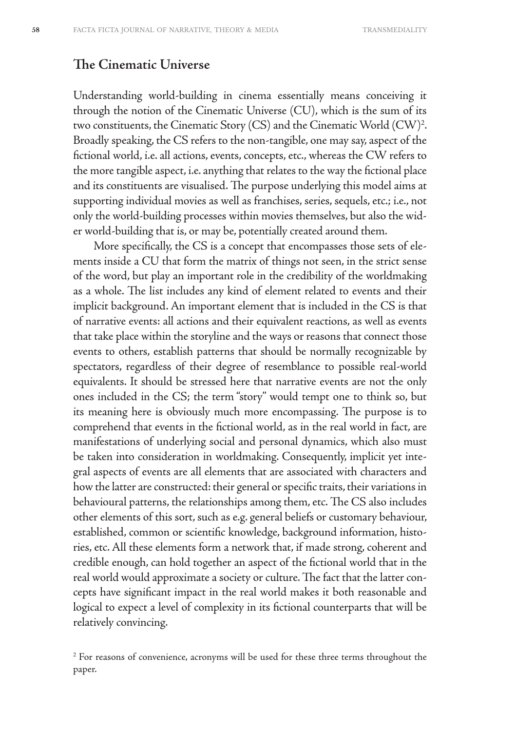#### **The Cinematic Universe**

Understanding world-building in cinema essentially means conceiving it through the notion of the Cinematic Universe (CU), which is the sum of its two constituents, the Cinematic Story (CS) and the Cinematic World (CW)<sup>2</sup>. Broadly speaking, the CS refers to the non-tangible, one may say, aspect of the fictional world, i.e. all actions, events, concepts, etc., whereas the CW refers to the more tangible aspect, i.e. anything that relates to the way the fictional place and its constituents are visualised. The purpose underlying this model aims at supporting individual movies as well as franchises, series, sequels, etc.; i.e., not only the world-building processes within movies themselves, but also the wider world-building that is, or may be, potentially created around them.

More specifically, the CS is a concept that encompasses those sets of elements inside a CU that form the matrix of things not seen, in the strict sense of the word, but play an important role in the credibility of the worldmaking as a whole. The list includes any kind of element related to events and their implicit background. An important element that is included in the CS is that of narrative events: all actions and their equivalent reactions, as well as events that take place within the storyline and the ways or reasons that connect those events to others, establish patterns that should be normally recognizable by spectators, regardless of their degree of resemblance to possible real-world equivalents. It should be stressed here that narrative events are not the only ones included in the CS; the term "story" would tempt one to think so, but its meaning here is obviously much more encompassing. The purpose is to comprehend that events in the fictional world, as in the real world in fact, are manifestations of underlying social and personal dynamics, which also must be taken into consideration in worldmaking. Consequently, implicit yet integral aspects of events are all elements that are associated with characters and how the latter are constructed: their general or specific traits, their variations in behavioural patterns, the relationships among them, etc. The CS also includes other elements of this sort, such as e.g. general beliefs or customary behaviour, established, common or scientific knowledge, background information, histories, etc. All these elements form a network that, if made strong, coherent and credible enough, can hold together an aspect of the fictional world that in the real world would approximate a society or culture. The fact that the latter concepts have significant impact in the real world makes it both reasonable and logical to expect a level of complexity in its fictional counterparts that will be relatively convincing.

 $2^{2}$  For reasons of convenience, acronyms will be used for these three terms throughout the paper.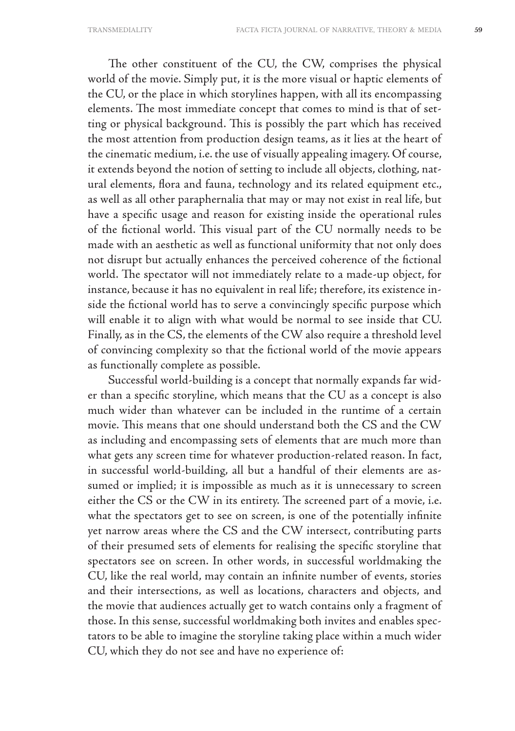The other constituent of the CU, the CW, comprises the physical world of the movie. Simply put, it is the more visual or haptic elements of the CU, or the place in which storylines happen, with all its encompassing elements. The most immediate concept that comes to mind is that of setting or physical background. This is possibly the part which has received the most attention from production design teams, as it lies at the heart of the cinematic medium, i.e. the use of visually appealing imagery. Of course, it extends beyond the notion of setting to include all objects, clothing, natural elements, flora and fauna, technology and its related equipment etc., as well as all other paraphernalia that may or may not exist in real life, but have a specific usage and reason for existing inside the operational rules of the fictional world. This visual part of the CU normally needs to be made with an aesthetic as well as functional uniformity that not only does not disrupt but actually enhances the perceived coherence of the fictional world. The spectator will not immediately relate to a made-up object, for instance, because it has no equivalent in real life; therefore, its existence inside the fictional world has to serve a convincingly specific purpose which will enable it to align with what would be normal to see inside that CU. Finally, as in the CS, the elements of the CW also require a threshold level of convincing complexity so that the fictional world of the movie appears as functionally complete as possible.

Successful world-building is a concept that normally expands far wider than a specific storyline, which means that the CU as a concept is also much wider than whatever can be included in the runtime of a certain movie. This means that one should understand both the CS and the CW as including and encompassing sets of elements that are much more than what gets any screen time for whatever production-related reason. In fact, in successful world-building, all but a handful of their elements are assumed or implied; it is impossible as much as it is unnecessary to screen either the CS or the CW in its entirety. The screened part of a movie, i.e. what the spectators get to see on screen, is one of the potentially infinite yet narrow areas where the CS and the CW intersect, contributing parts of their presumed sets of elements for realising the specific storyline that spectators see on screen. In other words, in successful worldmaking the CU, like the real world, may contain an infinite number of events, stories and their intersections, as well as locations, characters and objects, and the movie that audiences actually get to watch contains only a fragment of those. In this sense, successful worldmaking both invites and enables spectators to be able to imagine the storyline taking place within a much wider CU, which they do not see and have no experience of: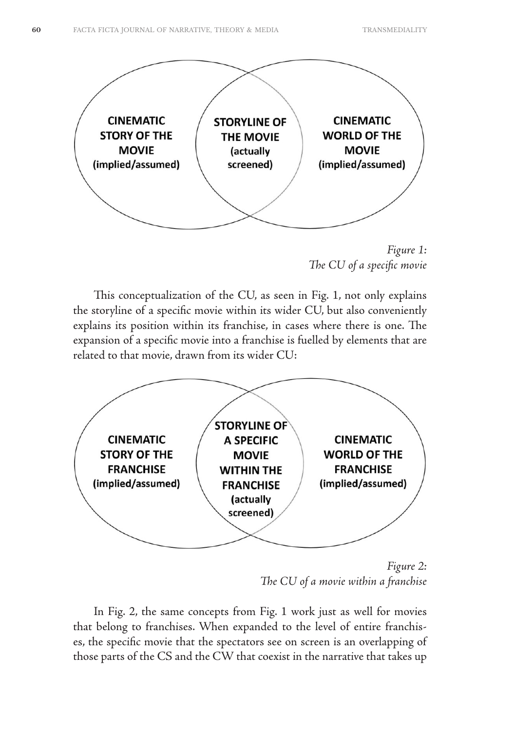

*Figure 1: The CU of a specific movie*

This conceptualization of the CU, as seen in Fig. 1, not only explains the storyline of a specific movie within its wider CU, but also conveniently explains its position within its franchise, in cases where there is one. The expansion of a specific movie into a franchise is fuelled by elements that are related to that movie, drawn from its wider CU:



*Figure 2: The CU of a movie within a franchise*

In Fig. 2, the same concepts from Fig. 1 work just as well for movies that belong to franchises. When expanded to the level of entire franchises, the specific movie that the spectators see on screen is an overlapping of those parts of the CS and the CW that coexist in the narrative that takes up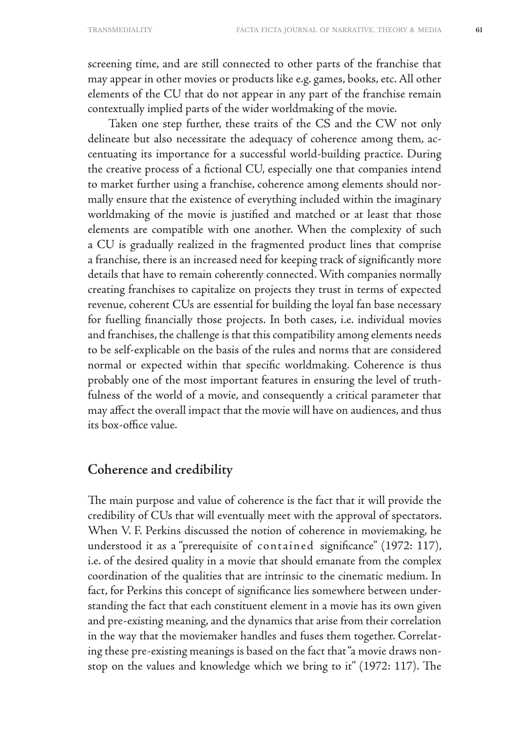screening time, and are still connected to other parts of the franchise that may appear in other movies or products like e.g. games, books, etc. All other elements of the CU that do not appear in any part of the franchise remain contextually implied parts of the wider worldmaking of the movie.

Taken one step further, these traits of the CS and the CW not only delineate but also necessitate the adequacy of coherence among them, accentuating its importance for a successful world-building practice. During the creative process of a fictional CU, especially one that companies intend to market further using a franchise, coherence among elements should normally ensure that the existence of everything included within the imaginary worldmaking of the movie is justified and matched or at least that those elements are compatible with one another. When the complexity of such a CU is gradually realized in the fragmented product lines that comprise a franchise, there is an increased need for keeping track of significantly more details that have to remain coherently connected. With companies normally creating franchises to capitalize on projects they trust in terms of expected revenue, coherent CUs are essential for building the loyal fan base necessary for fuelling financially those projects. In both cases, i.e. individual movies and franchises, the challenge is that this compatibility among elements needs to be self-explicable on the basis of the rules and norms that are considered normal or expected within that specific worldmaking. Coherence is thus probably one of the most important features in ensuring the level of truthfulness of the world of a movie, and consequently a critical parameter that may affect the overall impact that the movie will have on audiences, and thus its box-office value.

# **Coherence and credibility**

The main purpose and value of coherence is the fact that it will provide the credibility of CUs that will eventually meet with the approval of spectators. When V. F. Perkins discussed the notion of coherence in moviemaking, he understood it as a "prerequisite of contained significance" (1972: 117), i.e. of the desired quality in a movie that should emanate from the complex coordination of the qualities that are intrinsic to the cinematic medium. In fact, for Perkins this concept of significance lies somewhere between understanding the fact that each constituent element in a movie has its own given and pre-existing meaning, and the dynamics that arise from their correlation in the way that the moviemaker handles and fuses them together. Correlating these pre-existing meanings is based on the fact that "a movie draws nonstop on the values and knowledge which we bring to it" (1972: 117). The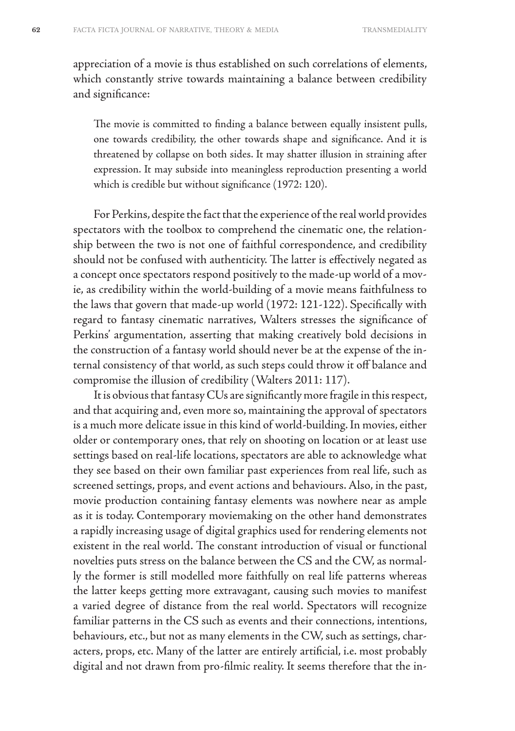appreciation of a movie is thus established on such correlations of elements, which constantly strive towards maintaining a balance between credibility and significance:

The movie is committed to finding a balance between equally insistent pulls, one towards credibility, the other towards shape and significance. And it is threatened by collapse on both sides. It may shatter illusion in straining after expression. It may subside into meaningless reproduction presenting a world which is credible but without significance (1972: 120).

For Perkins, despite the fact that the experience of the real world provides spectators with the toolbox to comprehend the cinematic one, the relationship between the two is not one of faithful correspondence, and credibility should not be confused with authenticity. The latter is effectively negated as a concept once spectators respond positively to the made-up world of a movie, as credibility within the world-building of a movie means faithfulness to the laws that govern that made-up world (1972: 121-122). Specifically with regard to fantasy cinematic narratives, Walters stresses the significance of Perkins' argumentation, asserting that making creatively bold decisions in the construction of a fantasy world should never be at the expense of the internal consistency of that world, as such steps could throw it off balance and compromise the illusion of credibility (Walters 2011: 117).

It is obvious that fantasy CUs are significantly more fragile in this respect, and that acquiring and, even more so, maintaining the approval of spectators is a much more delicate issue in this kind of world-building. In movies, either older or contemporary ones, that rely on shooting on location or at least use settings based on real-life locations, spectators are able to acknowledge what they see based on their own familiar past experiences from real life, such as screened settings, props, and event actions and behaviours. Also, in the past, movie production containing fantasy elements was nowhere near as ample as it is today. Contemporary moviemaking on the other hand demonstrates a rapidly increasing usage of digital graphics used for rendering elements not existent in the real world. The constant introduction of visual or functional novelties puts stress on the balance between the CS and the CW, as normally the former is still modelled more faithfully on real life patterns whereas the latter keeps getting more extravagant, causing such movies to manifest a varied degree of distance from the real world. Spectators will recognize familiar patterns in the CS such as events and their connections, intentions, behaviours, etc., but not as many elements in the CW, such as settings, characters, props, etc. Many of the latter are entirely artificial, i.e. most probably digital and not drawn from pro-filmic reality. It seems therefore that the in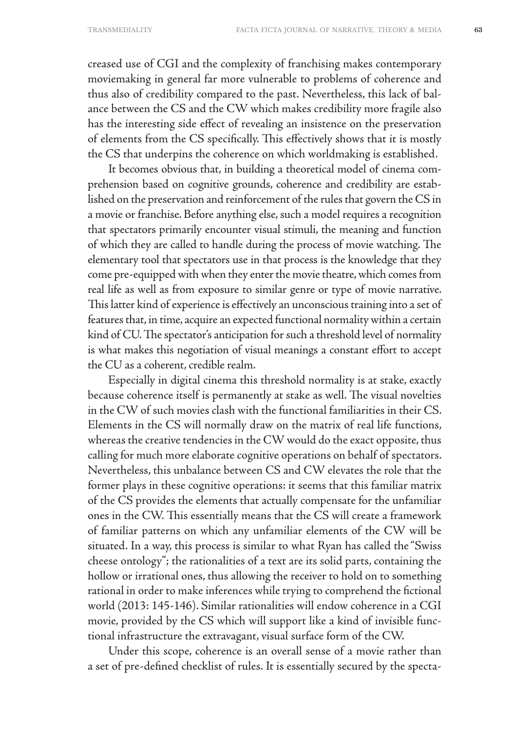creased use of CGI and the complexity of franchising makes contemporary moviemaking in general far more vulnerable to problems of coherence and thus also of credibility compared to the past. Nevertheless, this lack of balance between the CS and the CW which makes credibility more fragile also has the interesting side effect of revealing an insistence on the preservation of elements from the CS specifically. This effectively shows that it is mostly the CS that underpins the coherence on which worldmaking is established.

It becomes obvious that, in building a theoretical model of cinema comprehension based on cognitive grounds, coherence and credibility are established on the preservation and reinforcement of the rules that govern the CS in a movie or franchise. Before anything else, such a model requires a recognition that spectators primarily encounter visual stimuli, the meaning and function of which they are called to handle during the process of movie watching. The elementary tool that spectators use in that process is the knowledge that they come pre-equipped with when they enter the movie theatre, which comes from real life as well as from exposure to similar genre or type of movie narrative. This latter kind of experience is effectively an unconscious training into a set of features that, in time, acquire an expected functional normality within a certain kind of CU. The spectator's anticipation for such a threshold level of normality is what makes this negotiation of visual meanings a constant effort to accept the CU as a coherent, credible realm.

Especially in digital cinema this threshold normality is at stake, exactly because coherence itself is permanently at stake as well. The visual novelties in the CW of such movies clash with the functional familiarities in their CS. Elements in the CS will normally draw on the matrix of real life functions, whereas the creative tendencies in the CW would do the exact opposite, thus calling for much more elaborate cognitive operations on behalf of spectators. Nevertheless, this unbalance between CS and CW elevates the role that the former plays in these cognitive operations: it seems that this familiar matrix of the CS provides the elements that actually compensate for the unfamiliar ones in the CW. This essentially means that the CS will create a framework of familiar patterns on which any unfamiliar elements of the CW will be situated. In a way, this process is similar to what Ryan has called the "Swiss cheese ontology"; the rationalities of a text are its solid parts, containing the hollow or irrational ones, thus allowing the receiver to hold on to something rational in order to make inferences while trying to comprehend the fictional world (2013: 145-146). Similar rationalities will endow coherence in a CGI movie, provided by the CS which will support like a kind of invisible functional infrastructure the extravagant, visual surface form of the CW.

Under this scope, coherence is an overall sense of a movie rather than a set of pre-defined checklist of rules. It is essentially secured by the specta-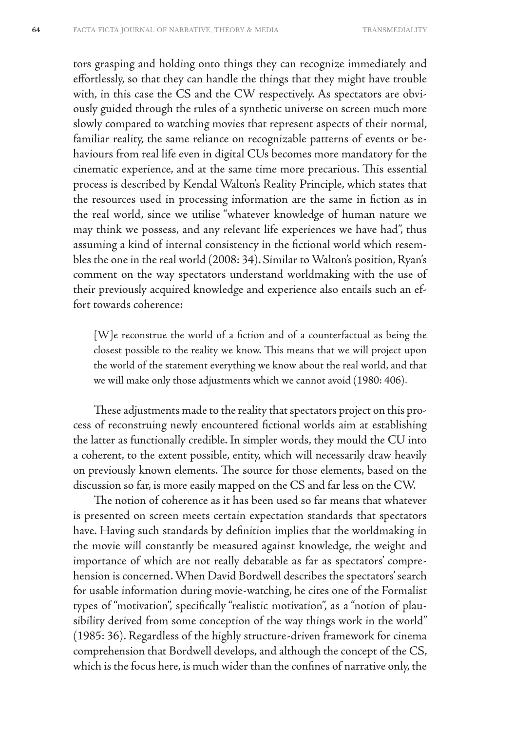tors grasping and holding onto things they can recognize immediately and effortlessly, so that they can handle the things that they might have trouble with, in this case the CS and the CW respectively. As spectators are obviously guided through the rules of a synthetic universe on screen much more slowly compared to watching movies that represent aspects of their normal, familiar reality, the same reliance on recognizable patterns of events or behaviours from real life even in digital CUs becomes more mandatory for the cinematic experience, and at the same time more precarious. This essential process is described by Kendal Walton's Reality Principle, which states that the resources used in processing information are the same in fiction as in the real world, since we utilise "whatever knowledge of human nature we may think we possess, and any relevant life experiences we have had", thus assuming a kind of internal consistency in the fictional world which resembles the one in the real world (2008: 34). Similar to Walton's position, Ryan's comment on the way spectators understand worldmaking with the use of their previously acquired knowledge and experience also entails such an effort towards coherence:

[W]e reconstrue the world of a fiction and of a counterfactual as being the closest possible to the reality we know. This means that we will project upon the world of the statement everything we know about the real world, and that we will make only those adjustments which we cannot avoid (1980: 406).

These adjustments made to the reality that spectators project on this process of reconstruing newly encountered fictional worlds aim at establishing the latter as functionally credible. In simpler words, they mould the CU into a coherent, to the extent possible, entity, which will necessarily draw heavily on previously known elements. The source for those elements, based on the discussion so far, is more easily mapped on the CS and far less on the CW.

The notion of coherence as it has been used so far means that whatever is presented on screen meets certain expectation standards that spectators have. Having such standards by definition implies that the worldmaking in the movie will constantly be measured against knowledge, the weight and importance of which are not really debatable as far as spectators' comprehension is concerned. When David Bordwell describes the spectators' search for usable information during movie-watching, he cites one of the Formalist types of "motivation", specifically "realistic motivation", as a "notion of plausibility derived from some conception of the way things work in the world" (1985: 36). Regardless of the highly structure-driven framework for cinema comprehension that Bordwell develops, and although the concept of the CS, which is the focus here, is much wider than the confines of narrative only, the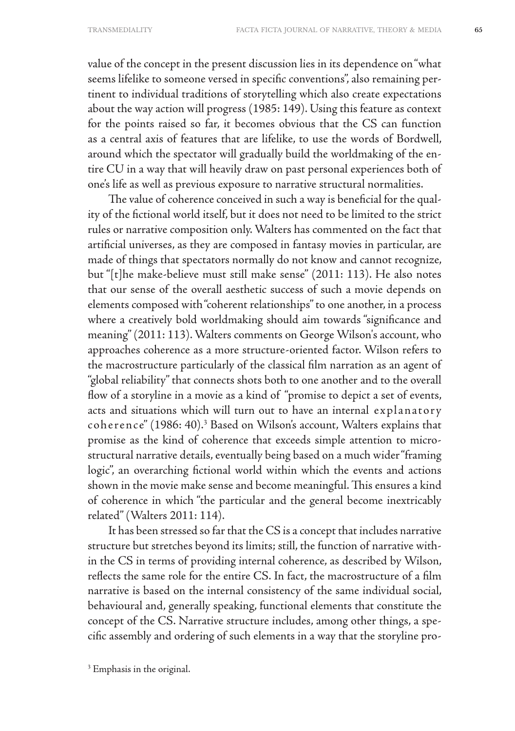value of the concept in the present discussion lies in its dependence on "what seems lifelike to someone versed in specific conventions", also remaining pertinent to individual traditions of storytelling which also create expectations about the way action will progress (1985: 149). Using this feature as context for the points raised so far, it becomes obvious that the CS can function as a central axis of features that are lifelike, to use the words of Bordwell, around which the spectator will gradually build the worldmaking of the entire CU in a way that will heavily draw on past personal experiences both of one's life as well as previous exposure to narrative structural normalities.

The value of coherence conceived in such a way is beneficial for the quality of the fictional world itself, but it does not need to be limited to the strict rules or narrative composition only. Walters has commented on the fact that artificial universes, as they are composed in fantasy movies in particular, are made of things that spectators normally do not know and cannot recognize, but "[t]he make-believe must still make sense" (2011: 113). He also notes that our sense of the overall aesthetic success of such a movie depends on elements composed with "coherent relationships" to one another, in a process where a creatively bold worldmaking should aim towards "significance and meaning" (2011: 113). Walters comments on George Wilson's account, who approaches coherence as a more structure-oriented factor. Wilson refers to the macrostructure particularly of the classical film narration as an agent of "global reliability" that connects shots both to one another and to the overall flow of a storyline in a movie as a kind of "promise to depict a set of events, acts and situations which will turn out to have an internal explanatory coherence" (1986: 40).3 Based on Wilson's account, Walters explains that promise as the kind of coherence that exceeds simple attention to microstructural narrative details, eventually being based on a much wider "framing logic", an overarching fictional world within which the events and actions shown in the movie make sense and become meaningful. This ensures a kind of coherence in which "the particular and the general become inextricably related" (Walters 2011: 114).

It has been stressed so far that the CS is a concept that includes narrative structure but stretches beyond its limits; still, the function of narrative within the CS in terms of providing internal coherence, as described by Wilson, reflects the same role for the entire CS. In fact, the macrostructure of a film narrative is based on the internal consistency of the same individual social, behavioural and, generally speaking, functional elements that constitute the concept of the CS. Narrative structure includes, among other things, a specific assembly and ordering of such elements in a way that the storyline pro-

<sup>3</sup> Emphasis in the original.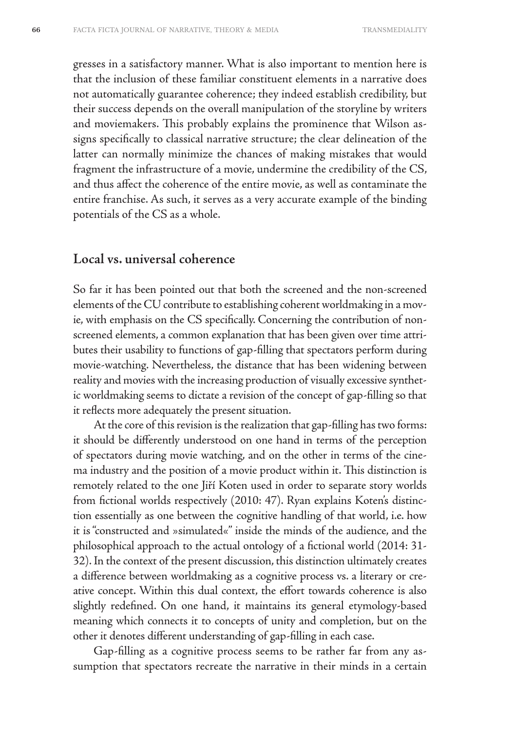gresses in a satisfactory manner. What is also important to mention here is that the inclusion of these familiar constituent elements in a narrative does not automatically guarantee coherence; they indeed establish credibility, but their success depends on the overall manipulation of the storyline by writers and moviemakers. This probably explains the prominence that Wilson assigns specifically to classical narrative structure; the clear delineation of the latter can normally minimize the chances of making mistakes that would fragment the infrastructure of a movie, undermine the credibility of the CS, and thus affect the coherence of the entire movie, as well as contaminate the entire franchise. As such, it serves as a very accurate example of the binding potentials of the CS as a whole.

### **Local vs. universal coherence**

So far it has been pointed out that both the screened and the non-screened elements of the CU contribute to establishing coherent worldmaking in a movie, with emphasis on the CS specifically. Concerning the contribution of nonscreened elements, a common explanation that has been given over time attributes their usability to functions of gap-filling that spectators perform during movie-watching. Nevertheless, the distance that has been widening between reality and movies with the increasing production of visually excessive synthetic worldmaking seems to dictate a revision of the concept of gap-filling so that it reflects more adequately the present situation.

At the core of this revision is the realization that gap-filling has two forms: it should be differently understood on one hand in terms of the perception of spectators during movie watching, and on the other in terms of the cinema industry and the position of a movie product within it. This distinction is remotely related to the one Jiří Koten used in order to separate story worlds from fictional worlds respectively (2010: 47). Ryan explains Koten's distinction essentially as one between the cognitive handling of that world, i.e. how it is "constructed and »simulated«" inside the minds of the audience, and the philosophical approach to the actual ontology of a fictional world (2014: 31- 32). In the context of the present discussion, this distinction ultimately creates a difference between worldmaking as a cognitive process vs. a literary or creative concept. Within this dual context, the effort towards coherence is also slightly redefined. On one hand, it maintains its general etymology-based meaning which connects it to concepts of unity and completion, but on the other it denotes different understanding of gap-filling in each case.

Gap-filling as a cognitive process seems to be rather far from any assumption that spectators recreate the narrative in their minds in a certain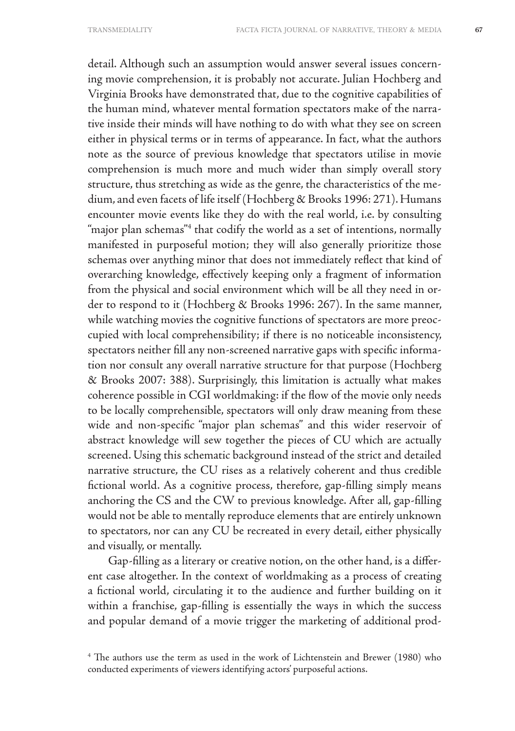detail. Although such an assumption would answer several issues concerning movie comprehension, it is probably not accurate. Julian Hochberg and Virginia Brooks have demonstrated that, due to the cognitive capabilities of the human mind, whatever mental formation spectators make of the narrative inside their minds will have nothing to do with what they see on screen either in physical terms or in terms of appearance. In fact, what the authors note as the source of previous knowledge that spectators utilise in movie comprehension is much more and much wider than simply overall story structure, thus stretching as wide as the genre, the characteristics of the medium, and even facets of life itself (Hochberg & Brooks 1996: 271). Humans encounter movie events like they do with the real world, i.e. by consulting "major plan schemas"4 that codify the world as a set of intentions, normally manifested in purposeful motion; they will also generally prioritize those schemas over anything minor that does not immediately reflect that kind of overarching knowledge, effectively keeping only a fragment of information from the physical and social environment which will be all they need in order to respond to it (Hochberg & Brooks 1996: 267). In the same manner, while watching movies the cognitive functions of spectators are more preoccupied with local comprehensibility; if there is no noticeable inconsistency, spectators neither fill any non-screened narrative gaps with specific information nor consult any overall narrative structure for that purpose (Hochberg & Brooks 2007: 388). Surprisingly, this limitation is actually what makes coherence possible in CGI worldmaking: if the flow of the movie only needs to be locally comprehensible, spectators will only draw meaning from these wide and non-specific "major plan schemas" and this wider reservoir of abstract knowledge will sew together the pieces of CU which are actually screened. Using this schematic background instead of the strict and detailed narrative structure, the CU rises as a relatively coherent and thus credible fictional world. As a cognitive process, therefore, gap-filling simply means anchoring the CS and the CW to previous knowledge. After all, gap-filling would not be able to mentally reproduce elements that are entirely unknown to spectators, nor can any CU be recreated in every detail, either physically and visually, or mentally.

Gap-filling as a literary or creative notion, on the other hand, is a different case altogether. In the context of worldmaking as a process of creating a fictional world, circulating it to the audience and further building on it within a franchise, gap-filling is essentially the ways in which the success and popular demand of a movie trigger the marketing of additional prod-

<sup>&</sup>lt;sup>4</sup> The authors use the term as used in the work of Lichtenstein and Brewer (1980) who conducted experiments of viewers identifying actors' purposeful actions.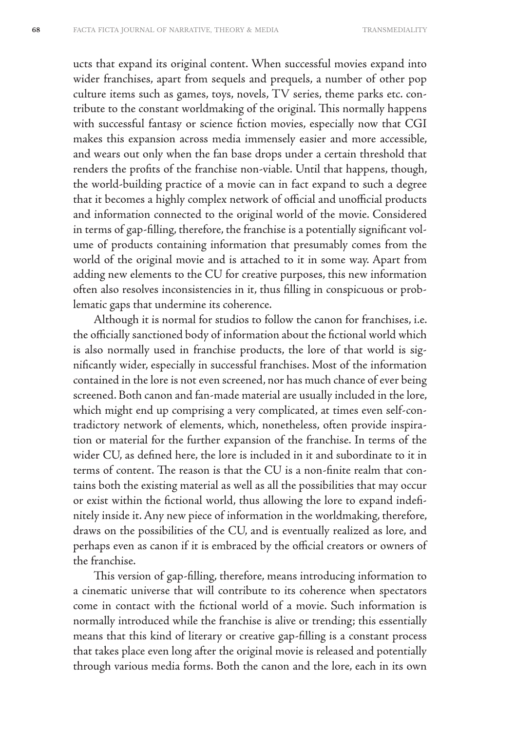ucts that expand its original content. When successful movies expand into wider franchises, apart from sequels and prequels, a number of other pop culture items such as games, toys, novels, TV series, theme parks etc. contribute to the constant worldmaking of the original. This normally happens with successful fantasy or science fiction movies, especially now that CGI makes this expansion across media immensely easier and more accessible, and wears out only when the fan base drops under a certain threshold that renders the profits of the franchise non-viable. Until that happens, though, the world-building practice of a movie can in fact expand to such a degree that it becomes a highly complex network of official and unofficial products and information connected to the original world of the movie. Considered in terms of gap-filling, therefore, the franchise is a potentially significant volume of products containing information that presumably comes from the world of the original movie and is attached to it in some way. Apart from adding new elements to the CU for creative purposes, this new information often also resolves inconsistencies in it, thus filling in conspicuous or problematic gaps that undermine its coherence.

Although it is normal for studios to follow the canon for franchises, i.e. the officially sanctioned body of information about the fictional world which is also normally used in franchise products, the lore of that world is significantly wider, especially in successful franchises. Most of the information contained in the lore is not even screened, nor has much chance of ever being screened. Both canon and fan-made material are usually included in the lore, which might end up comprising a very complicated, at times even self-contradictory network of elements, which, nonetheless, often provide inspiration or material for the further expansion of the franchise. In terms of the wider CU, as defined here, the lore is included in it and subordinate to it in terms of content. The reason is that the CU is a non-finite realm that contains both the existing material as well as all the possibilities that may occur or exist within the fictional world, thus allowing the lore to expand indefinitely inside it. Any new piece of information in the worldmaking, therefore, draws on the possibilities of the CU, and is eventually realized as lore, and perhaps even as canon if it is embraced by the official creators or owners of the franchise.

This version of gap-filling, therefore, means introducing information to a cinematic universe that will contribute to its coherence when spectators come in contact with the fictional world of a movie. Such information is normally introduced while the franchise is alive or trending; this essentially means that this kind of literary or creative gap-filling is a constant process that takes place even long after the original movie is released and potentially through various media forms. Both the canon and the lore, each in its own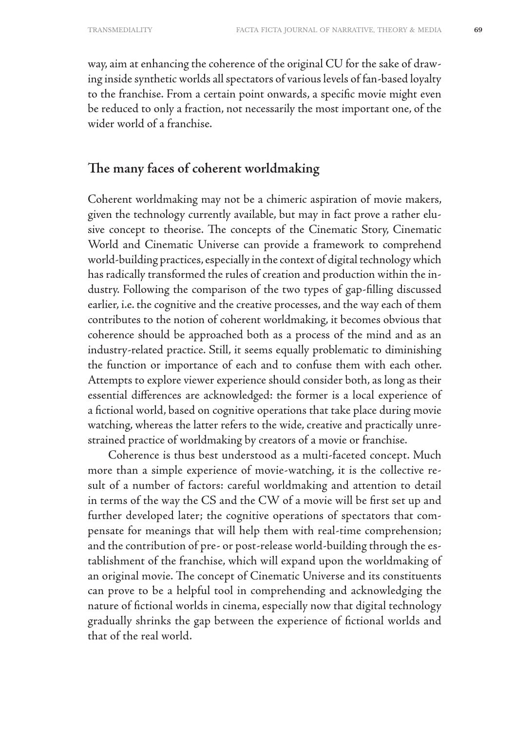way, aim at enhancing the coherence of the original CU for the sake of drawing inside synthetic worlds all spectators of various levels of fan-based loyalty to the franchise. From a certain point onwards, a specific movie might even be reduced to only a fraction, not necessarily the most important one, of the wider world of a franchise.

# **The many faces of coherent worldmaking**

Coherent worldmaking may not be a chimeric aspiration of movie makers, given the technology currently available, but may in fact prove a rather elusive concept to theorise. The concepts of the Cinematic Story, Cinematic World and Cinematic Universe can provide a framework to comprehend world-building practices, especially in the context of digital technology which has radically transformed the rules of creation and production within the industry. Following the comparison of the two types of gap-filling discussed earlier, i.e. the cognitive and the creative processes, and the way each of them contributes to the notion of coherent worldmaking, it becomes obvious that coherence should be approached both as a process of the mind and as an industry-related practice. Still, it seems equally problematic to diminishing the function or importance of each and to confuse them with each other. Attempts to explore viewer experience should consider both, as long as their essential differences are acknowledged: the former is a local experience of a fictional world, based on cognitive operations that take place during movie watching, whereas the latter refers to the wide, creative and practically unrestrained practice of worldmaking by creators of a movie or franchise.

Coherence is thus best understood as a multi-faceted concept. Much more than a simple experience of movie-watching, it is the collective result of a number of factors: careful worldmaking and attention to detail in terms of the way the CS and the CW of a movie will be first set up and further developed later; the cognitive operations of spectators that compensate for meanings that will help them with real-time comprehension; and the contribution of pre- or post-release world-building through the establishment of the franchise, which will expand upon the worldmaking of an original movie. The concept of Cinematic Universe and its constituents can prove to be a helpful tool in comprehending and acknowledging the nature of fictional worlds in cinema, especially now that digital technology gradually shrinks the gap between the experience of fictional worlds and that of the real world.